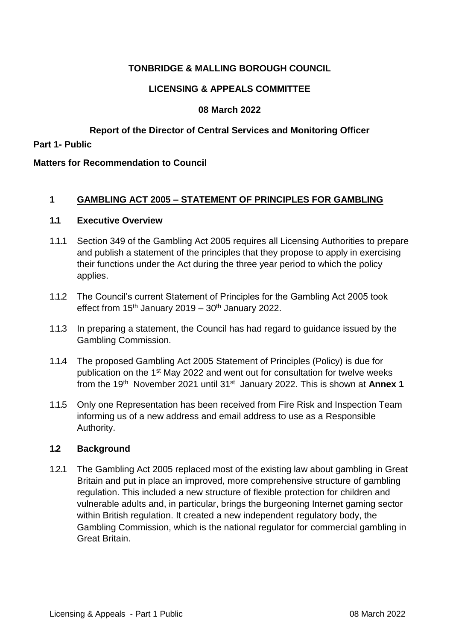# **TONBRIDGE & MALLING BOROUGH COUNCIL**

# **LICENSING & APPEALS COMMITTEE**

# **08 March 2022**

# **Report of the Director of Central Services and Monitoring Officer**

**Part 1- Public**

### **Matters for Recommendation to Council**

## **1 GAMBLING ACT 2005 – STATEMENT OF PRINCIPLES FOR GAMBLING**

#### **1.1 Executive Overview**

- 1.1.1 Section 349 of the Gambling Act 2005 requires all Licensing Authorities to prepare and publish a statement of the principles that they propose to apply in exercising their functions under the Act during the three year period to which the policy applies.
- 1.1.2 The Council's current Statement of Principles for the Gambling Act 2005 took effect from  $15<sup>th</sup>$  January 2019 –  $30<sup>th</sup>$  January 2022.
- 1.1.3 In preparing a statement, the Council has had regard to guidance issued by the Gambling Commission.
- 1.1.4 The proposed Gambling Act 2005 Statement of Principles (Policy) is due for publication on the 1<sup>st</sup> May 2022 and went out for consultation for twelve weeks from the 19th November 2021 until 31st January 2022. This is shown at **Annex 1**
- 1.1.5 Only one Representation has been received from Fire Risk and Inspection Team informing us of a new address and email address to use as a Responsible Authority.

# **1.2 Background**

1.2.1 The Gambling Act 2005 replaced most of the existing law about gambling in Great Britain and put in place an improved, more comprehensive structure of gambling regulation. This included a new structure of flexible protection for children and vulnerable adults and, in particular, brings the burgeoning Internet gaming sector within British regulation. It created a new independent regulatory body, the Gambling Commission, which is the national regulator for commercial gambling in Great Britain.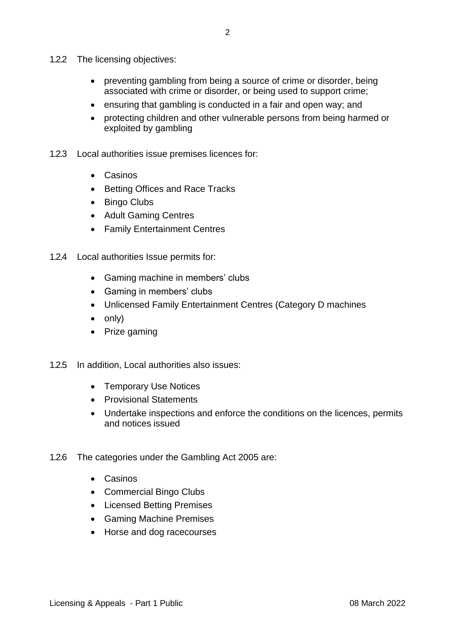- 1.2.2 The licensing objectives:
	- preventing gambling from being a source of crime or disorder, being associated with crime or disorder, or being used to support crime;
	- ensuring that gambling is conducted in a fair and open way; and
	- protecting children and other vulnerable persons from being harmed or exploited by gambling
- 1.2.3 Local authorities issue premises licences for:
	- Casinos
	- Betting Offices and Race Tracks
	- Bingo Clubs
	- Adult Gaming Centres
	- Family Entertainment Centres
- 1.2.4 Local authorities Issue permits for:
	- Gaming machine in members' clubs
	- Gaming in members' clubs
	- Unlicensed Family Entertainment Centres (Category D machines
	- $\bullet$  only)
	- Prize gaming
- 1.2.5 In addition, Local authorities also issues:
	- Temporary Use Notices
	- Provisional Statements
	- Undertake inspections and enforce the conditions on the licences, permits and notices issued
- 1.2.6 The categories under the Gambling Act 2005 are:
	- Casinos
	- Commercial Bingo Clubs
	- Licensed Betting Premises
	- Gaming Machine Premises
	- Horse and dog racecourses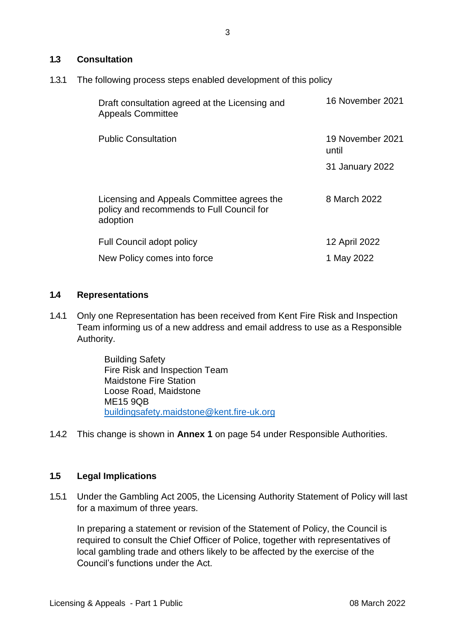### **1.3 Consultation**

1.3.1 The following process steps enabled development of this policy

| Draft consultation agreed at the Licensing and<br><b>Appeals Committee</b>                          | 16 November 2021          |
|-----------------------------------------------------------------------------------------------------|---------------------------|
| <b>Public Consultation</b>                                                                          | 19 November 2021<br>until |
|                                                                                                     | 31 January 2022           |
| Licensing and Appeals Committee agrees the<br>policy and recommends to Full Council for<br>adoption | 8 March 2022              |
| <b>Full Council adopt policy</b>                                                                    | 12 April 2022             |
| New Policy comes into force                                                                         | 1 May 2022                |

### **1.4 Representations**

1.4.1 Only one Representation has been received from Kent Fire Risk and Inspection Team informing us of a new address and email address to use as a Responsible Authority.

> Building Safety Fire Risk and Inspection Team Maidstone Fire Station Loose Road, Maidstone ME15 9QB [buildingsafety.maidstone@kent.fire-uk.org](mailto:buildingsafety.maidstone@kent.fire-uk.org)

1.4.2 This change is shown in **Annex 1** on page 54 under Responsible Authorities.

## **1.5 Legal Implications**

1.5.1 Under the Gambling Act 2005, the Licensing Authority Statement of Policy will last for a maximum of three years.

In preparing a statement or revision of the Statement of Policy, the Council is required to consult the Chief Officer of Police, together with representatives of local gambling trade and others likely to be affected by the exercise of the Council's functions under the Act.